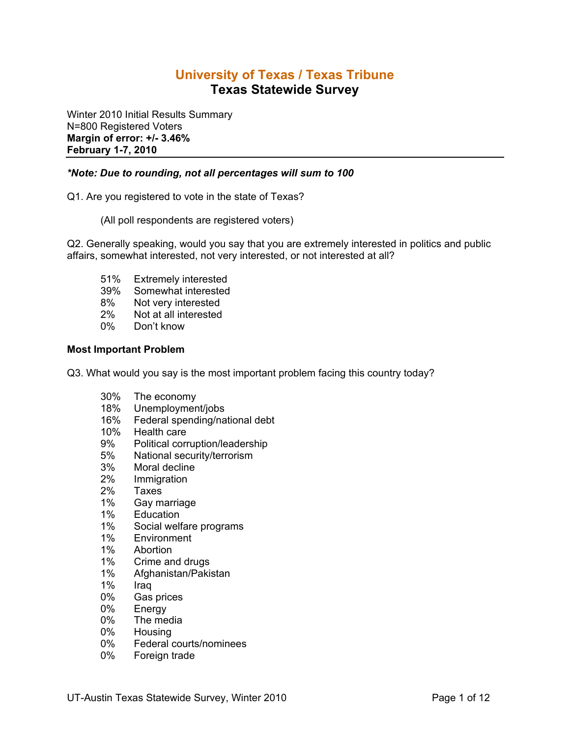# **University of Texas / Texas Tribune Texas Statewide Survey**

Winter 2010 Initial Results Summary N=800 Registered Voters **Margin of error: +/- 3.46% February 1-7, 2010**

## *\*Note: Due to rounding, not all percentages will sum to 100*

Q1. Are you registered to vote in the state of Texas?

(All poll respondents are registered voters)

Q2. Generally speaking, would you say that you are extremely interested in politics and public affairs, somewhat interested, not very interested, or not interested at all?

- 51% Extremely interested
- 39% Somewhat interested
- 8% Not very interested
- 2% Not at all interested
- 0% Don't know

## **Most Important Problem**

Q3. What would you say is the most important problem facing this country today?

- 30% The economy
- 18% Unemployment/jobs
- 16% Federal spending/national debt<br>10% Health care
- Health care
- 9% Political corruption/leadership
- 5% National security/terrorism
- 3% Moral decline
- 2% Immigration
- 2% Taxes<br>1% Gav m
- Gay marriage
- 1% Education
- 1% Social welfare programs
- 1% Environment
- 1% Abortion
- 1% Crime and drugs
- 1% Afghanistan/Pakistan
- 1% Iraq
- 0% Gas prices
- 0% Energy
- 0% The media
- 0% Housing
- 0% Federal courts/nominees
- 0% Foreign trade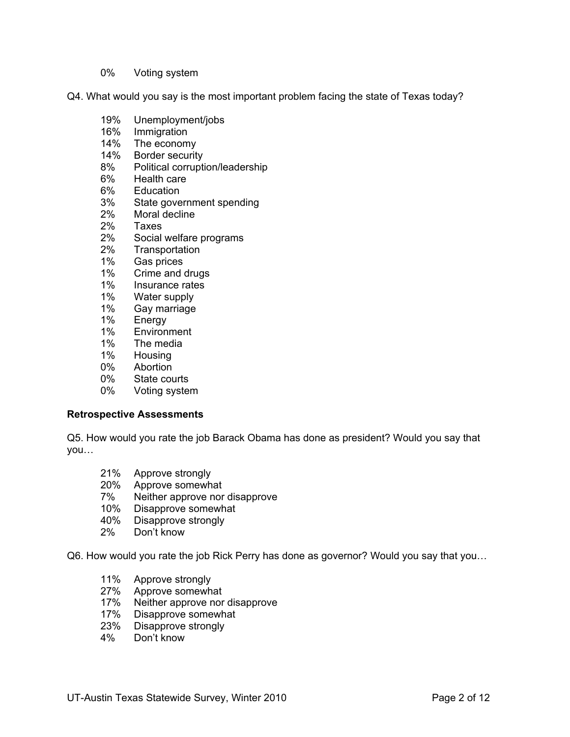0% Voting system

Q4. What would you say is the most important problem facing the state of Texas today?

- 19% Unemployment/jobs
- 16% Immigration
- 14% The economy
- 14% Border security
- 8% Political corruption/leadership
- 6% Health care<br>6% Education
- **Education**
- 3% State government spending
- 2% Moral decline
- 2% Taxes
- 2% Social welfare programs
- 2% Transportation
- 1% Gas prices
- 1% Crime and drugs<br>1% Insurance rates
- Insurance rates
- 
- 1% Water supply<br>1% Gav marriage Gay marriage
- 1% Energy
- 1% Environment
- 1% The media
- 1% Housing
- 0% Abortion
- 0% State courts
- 0% Voting system

#### **Retrospective Assessments**

Q5. How would you rate the job Barack Obama has done as president? Would you say that you…

- 21% Approve strongly<br>20% Approve somewh
- Approve somewhat
- 7% Neither approve nor disapprove
- 10% Disapprove somewhat
- 40% Disapprove strongly
- 2% Don't know

Q6. How would you rate the job Rick Perry has done as governor? Would you say that you…

- 11% Approve strongly
- 27% Approve somewhat
- 17% Neither approve nor disapprove
- 17% Disapprove somewhat<br>23% Disapprove strongly
- Disapprove strongly
- 4% Don't know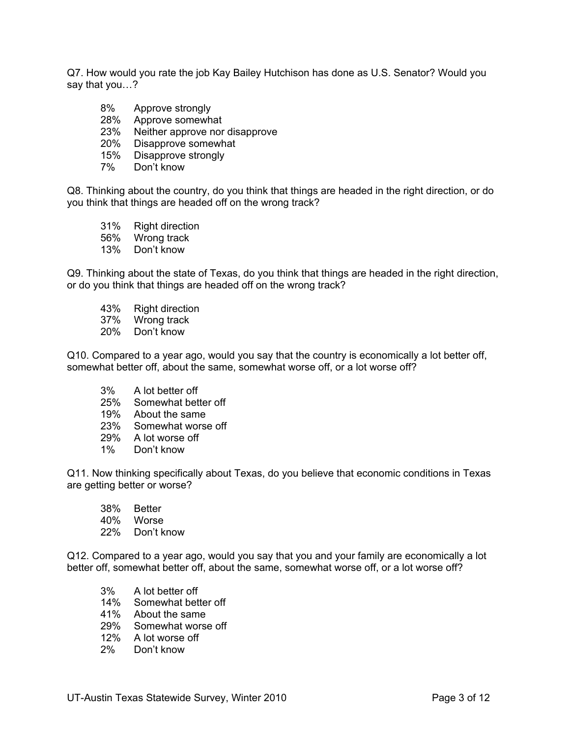Q7. How would you rate the job Kay Bailey Hutchison has done as U.S. Senator? Would you say that you…?

- 8% Approve strongly
- 28% Approve somewhat
- 23% Neither approve nor disapprove
- 20% Disapprove somewhat
- 15% Disapprove strongly
- 7% Don't know

Q8. Thinking about the country, do you think that things are headed in the right direction, or do you think that things are headed off on the wrong track?

- 31% Right direction
- 56% Wrong track
- 13% Don't know

Q9. Thinking about the state of Texas, do you think that things are headed in the right direction, or do you think that things are headed off on the wrong track?

- 43% Right direction
- 37% Wrong track
- 20% Don't know

Q10. Compared to a year ago, would you say that the country is economically a lot better off, somewhat better off, about the same, somewhat worse off, or a lot worse off?

- 3% A lot better off
- 25% Somewhat better off
- 19% About the same
- 23% Somewhat worse off
- 29% A lot worse off
- 1% Don't know

Q11. Now thinking specifically about Texas, do you believe that economic conditions in Texas are getting better or worse?

- 38% Better
- 40% Worse
- 22% Don't know

Q12. Compared to a year ago, would you say that you and your family are economically a lot better off, somewhat better off, about the same, somewhat worse off, or a lot worse off?

- 3% A lot better off
- 14% Somewhat better off
- 41% About the same
- 29% Somewhat worse off
- 12% A lot worse off
- 2% Don't know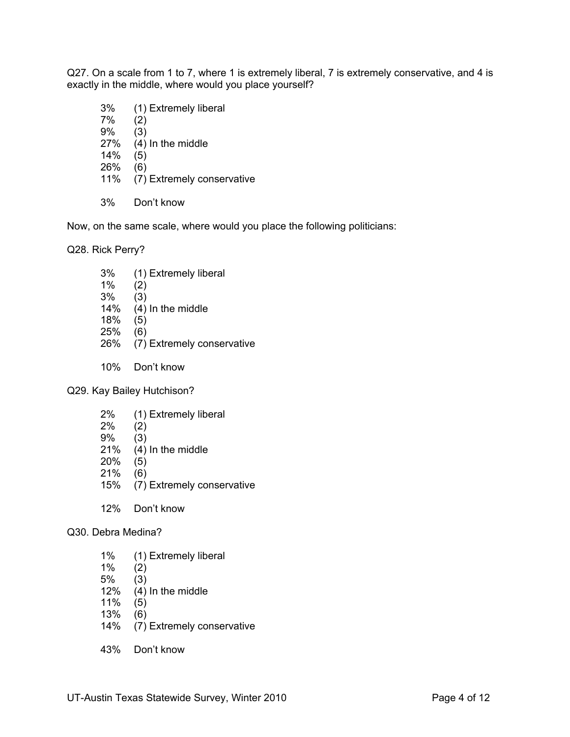Q27. On a scale from 1 to 7, where 1 is extremely liberal, 7 is extremely conservative, and 4 is exactly in the middle, where would you place yourself?

- 3% (1) Extremely liberal 7% (2) 9% (3) 27% (4) In the middle 14% (5) 26% (6) 11% (7) Extremely conservative
- 3% Don't know

Now, on the same scale, where would you place the following politicians:

Q28. Rick Perry?

- 3% (1) Extremely liberal 1% (2) 3% (3) 14% (4) In the middle 18% (5) 25% (6) 26% (7) Extremely conservative
- 10% Don't know

Q29. Kay Bailey Hutchison?

- 2% (1) Extremely liberal
- 2% (2)
- 9% (3)
- 21% (4) In the middle
- 20% (5)
- 21% (6)
- 15% (7) Extremely conservative
- 12% Don't know

Q30. Debra Medina?

- 1% (1) Extremely liberal
- 1% (2)
- 5% (3)
- 12% (4) In the middle
- 11% (5)
- $13\%$  (6)<br> $14\%$  (7)
- $(7)$  Extremely conservative
- 43% Don't know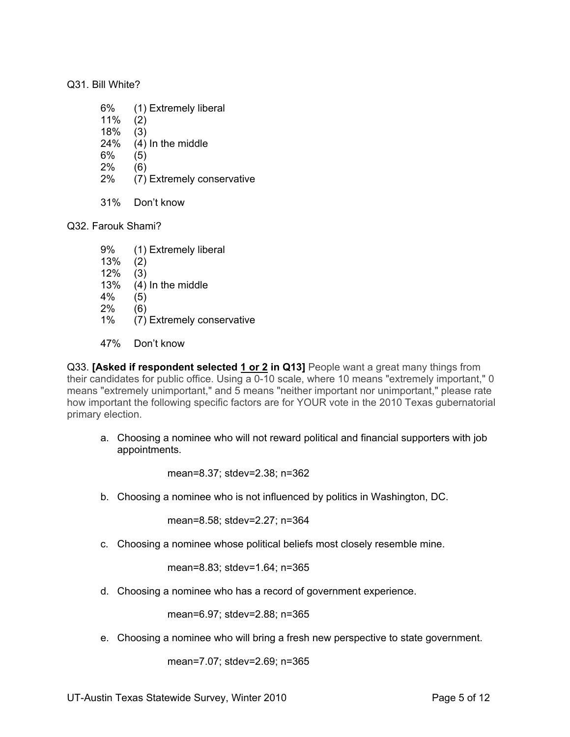## Q31. Bill White?

- 6% (1) Extremely liberal
- 11% (2)
- 18% (3)
- 24% (4) In the middle
- 6% (5)
- 2% (6)
- 2% (7) Extremely conservative
- 31% Don't know

Q32. Farouk Shami?

- 9% (1) Extremely liberal
- 13% (2)
- 12% (3)
- 13% (4) In the middle
- 4% (5)
- 2% (6)
- 1% (7) Extremely conservative
- 47% Don't know

Q33. **[Asked if respondent selected 1 or 2 in Q13]** People want a great many things from their candidates for public office. Using a 0-10 scale, where 10 means "extremely important," 0 means "extremely unimportant," and 5 means "neither important nor unimportant," please rate how important the following specific factors are for YOUR vote in the 2010 Texas gubernatorial primary election.

a. Choosing a nominee who will not reward political and financial supporters with job appointments.

mean=8.37; stdev=2.38; n=362

b. Choosing a nominee who is not influenced by politics in Washington, DC.

mean=8.58; stdev=2.27; n=364

c. Choosing a nominee whose political beliefs most closely resemble mine.

mean=8.83; stdev=1.64; n=365

d. Choosing a nominee who has a record of government experience.

mean=6.97; stdev=2.88; n=365

e. Choosing a nominee who will bring a fresh new perspective to state government.

mean=7.07; stdev=2.69; n=365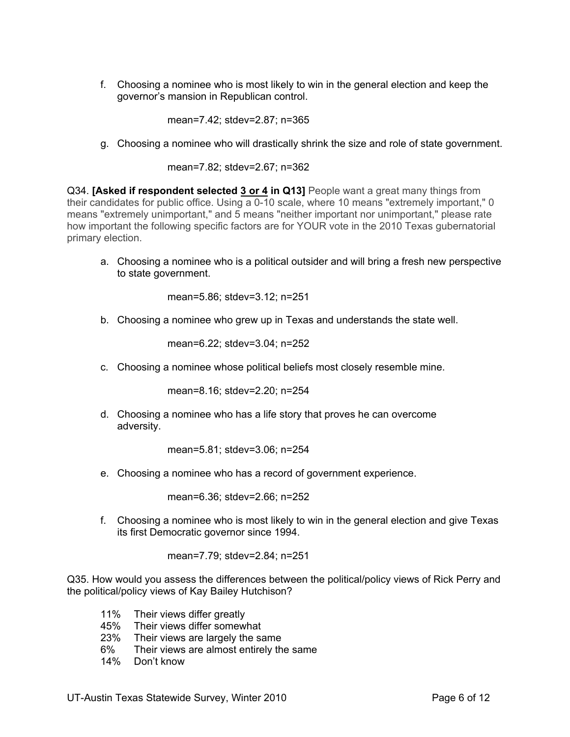f. Choosing a nominee who is most likely to win in the general election and keep the governor's mansion in Republican control.

mean=7.42; stdev=2.87; n=365

g. Choosing a nominee who will drastically shrink the size and role of state government.

mean=7.82; stdev=2.67; n=362

Q34. **[Asked if respondent selected 3 or 4 in Q13]** People want a great many things from their candidates for public office. Using a 0-10 scale, where 10 means "extremely important," 0 means "extremely unimportant," and 5 means "neither important nor unimportant," please rate how important the following specific factors are for YOUR vote in the 2010 Texas gubernatorial primary election.

a. Choosing a nominee who is a political outsider and will bring a fresh new perspective to state government.

mean=5.86; stdev=3.12; n=251

b. Choosing a nominee who grew up in Texas and understands the state well.

mean=6.22; stdev=3.04; n=252

c. Choosing a nominee whose political beliefs most closely resemble mine.

mean=8.16; stdev=2.20; n=254

d. Choosing a nominee who has a life story that proves he can overcome adversity.

mean=5.81; stdev=3.06; n=254

e. Choosing a nominee who has a record of government experience.

mean=6.36; stdev=2.66; n=252

f. Choosing a nominee who is most likely to win in the general election and give Texas its first Democratic governor since 1994.

mean=7.79; stdev=2.84; n=251

Q35. How would you assess the differences between the political/policy views of Rick Perry and the political/policy views of Kay Bailey Hutchison?

- 11% Their views differ greatly
- 45% Their views differ somewhat
- 23% Their views are largely the same
- 6% Their views are almost entirely the same
- 14% Don't know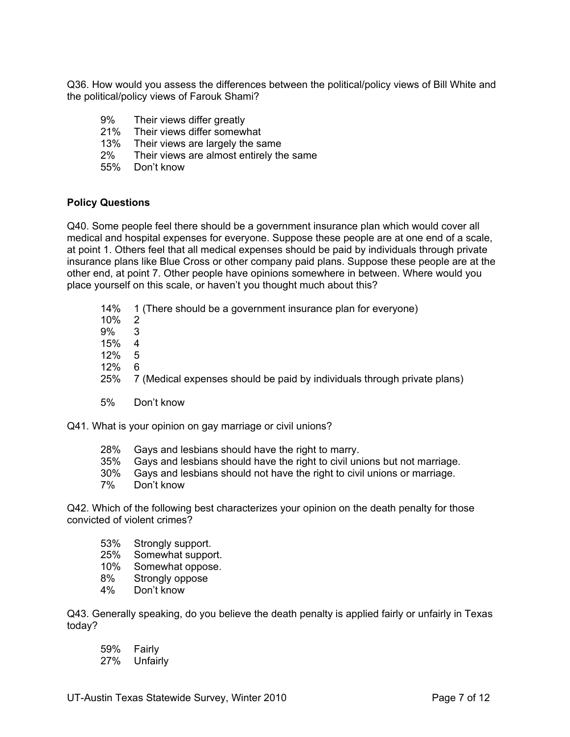Q36. How would you assess the differences between the political/policy views of Bill White and the political/policy views of Farouk Shami?

- 9% Their views differ greatly
- 21% Their views differ somewhat
- 13% Their views are largely the same
- 2% Their views are almost entirely the same
- 55% Don't know

## **Policy Questions**

Q40. Some people feel there should be a government insurance plan which would cover all medical and hospital expenses for everyone. Suppose these people are at one end of a scale, at point 1. Others feel that all medical expenses should be paid by individuals through private insurance plans like Blue Cross or other company paid plans. Suppose these people are at the other end, at point 7. Other people have opinions somewhere in between. Where would you place yourself on this scale, or haven't you thought much about this?

|       | 14% 1 (There should be a government insurance plan for everyone) |
|-------|------------------------------------------------------------------|
| 10% 2 |                                                                  |

- 9% 3
- 15% 4
- 12% 5
- 12% 6
- 25% 7 (Medical expenses should be paid by individuals through private plans)
- 5% Don't know

Q41. What is your opinion on gay marriage or civil unions?

- 28% Gays and lesbians should have the right to marry.<br>35% Gays and lesbians should have the right to civil un
- 35% Gays and lesbians should have the right to civil unions but not marriage.
- Gays and lesbians should not have the right to civil unions or marriage.
- 7% Don't know

Q42. Which of the following best characterizes your opinion on the death penalty for those convicted of violent crimes?

- 53% Strongly support.
- 25% Somewhat support.<br>10% Somewhat oppose.
- 10% Somewhat oppose.<br>8% Strongly oppose
- Strongly oppose
- 4% Don't know

Q43. Generally speaking, do you believe the death penalty is applied fairly or unfairly in Texas today?

- 59% Fairly
- 27% Unfairly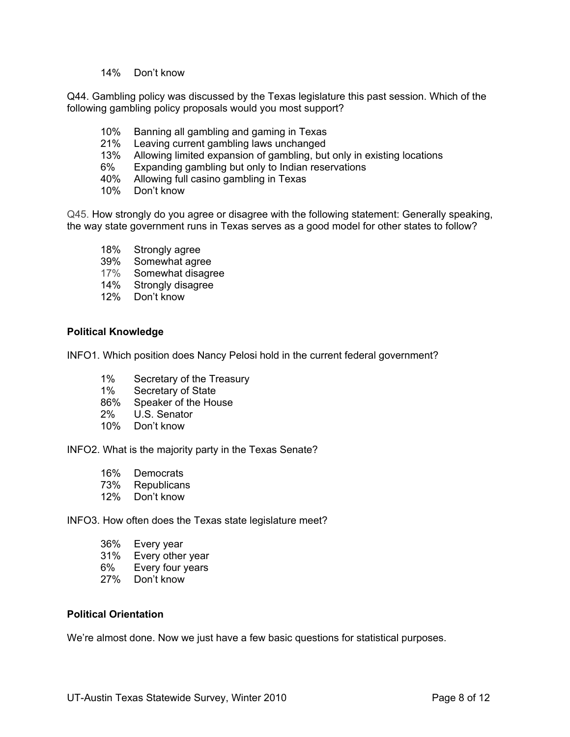14% Don't know

Q44. Gambling policy was discussed by the Texas legislature this past session. Which of the following gambling policy proposals would you most support?

- 10% Banning all gambling and gaming in Texas
- 21% Leaving current gambling laws unchanged
- 13% Allowing limited expansion of gambling, but only in existing locations
- 6% Expanding gambling but only to Indian reservations
- 40% Allowing full casino gambling in Texas
- 10% Don't know

Q45. How strongly do you agree or disagree with the following statement: Generally speaking, the way state government runs in Texas serves as a good model for other states to follow?

- 18% Strongly agree
- 39% Somewhat agree
- 17% Somewhat disagree
- 14% Strongly disagree
- 12% Don't know

## **Political Knowledge**

INFO1. Which position does Nancy Pelosi hold in the current federal government?

- 1% Secretary of the Treasury<br>1% Secretary of State
- Secretary of State
- 86% Speaker of the House
- 2% U.S. Senator
- 10% Don't know

INFO2. What is the majority party in the Texas Senate?

- 16% Democrats
- 73% Republicans
- 12% Don't know

INFO3. How often does the Texas state legislature meet?

- 36% Every year
- 31% Every other year
- 6% Every four years
- 27% Don't know

#### **Political Orientation**

We're almost done. Now we just have a few basic questions for statistical purposes.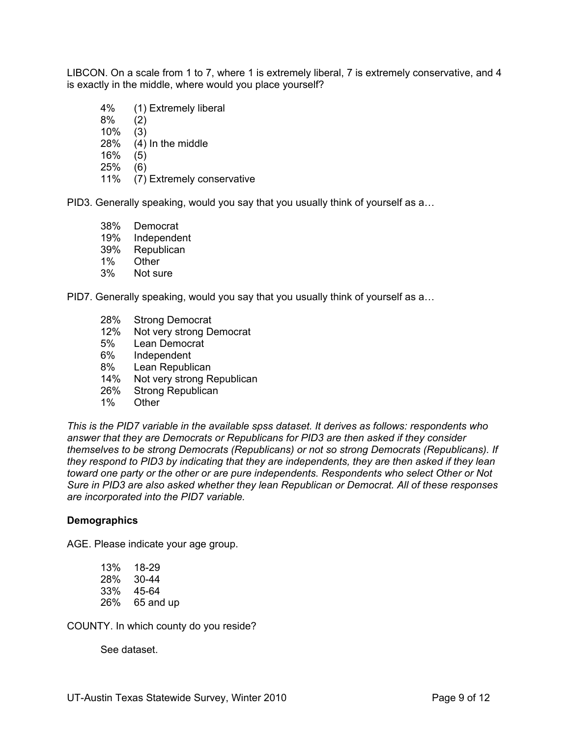LIBCON. On a scale from 1 to 7, where 1 is extremely liberal, 7 is extremely conservative, and 4 is exactly in the middle, where would you place yourself?

- 4% (1) Extremely liberal
- 8% (2)
- 10% (3)
- 28% (4) In the middle
- 16% (5)
- 25% (6)
- 11% (7) Extremely conservative

PID3. Generally speaking, would you say that you usually think of yourself as a…

- 38% Democrat
- 19% Independent
- 39% Republican
- 1% Other
- 3% Not sure

PID7. Generally speaking, would you say that you usually think of yourself as a…

- 28% Strong Democrat<br>12% Not very strong De
- Not very strong Democrat
- 5% Lean Democrat
- 6% Independent
- 
- 8% Lean Republican<br>14% Not very strong R Not very strong Republican
- 26% Strong Republican
- 1% Other

*This is the PID7 variable in the available spss dataset. It derives as follows: respondents who answer that they are Democrats or Republicans for PID3 are then asked if they consider themselves to be strong Democrats (Republicans) or not so strong Democrats (Republicans). If they respond to PID3 by indicating that they are independents, they are then asked if they lean toward one party or the other or are pure independents. Respondents who select Other or Not Sure in PID3 are also asked whether they lean Republican or Democrat. All of these responses are incorporated into the PID7 variable.* 

#### **Demographics**

AGE. Please indicate your age group.

13% 18-29 28% 30-44 33% 45-64 26% 65 and up

COUNTY. In which county do you reside?

See dataset.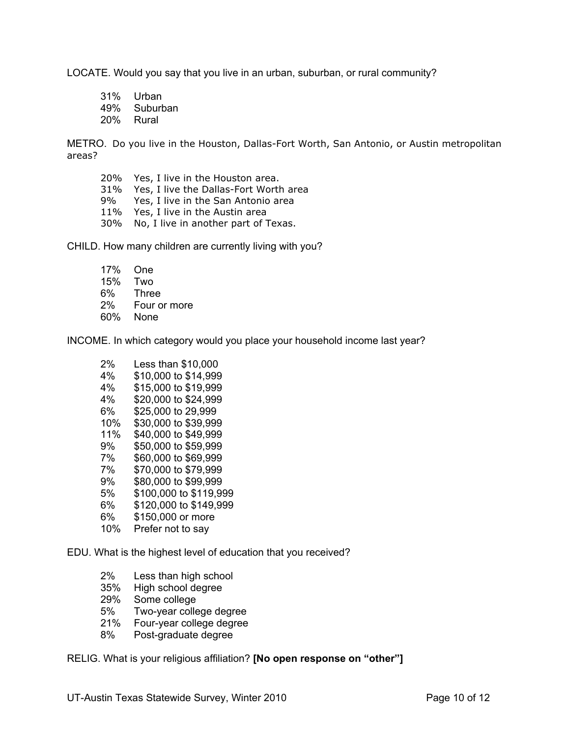LOCATE. Would you say that you live in an urban, suburban, or rural community?

31% Urban 49% Suburban 20% Rural

METRO. Do you live in the Houston, Dallas-Fort Worth, San Antonio, or Austin metropolitan areas?

20% Yes, I live in the Houston area. 31% Yes, I live the Dallas-Fort Worth area 9% Yes, I live in the San Antonio area 11% Yes, I live in the Austin area 30% No, I live in another part of Texas.

CHILD. How many children are currently living with you?

17% One 15% Two **Three** 2% Four or more 60% None

INCOME. In which category would you place your household income last year?

| 2%  | Less than \$10,000     |
|-----|------------------------|
| 4%  | \$10,000 to \$14,999   |
| 4%  | \$15,000 to \$19,999   |
| 4%  | \$20,000 to \$24,999   |
| 6%  | \$25,000 to 29,999     |
| 10% | \$30,000 to \$39,999   |
| 11% | \$40,000 to \$49,999   |
| 9%  | \$50,000 to \$59,999   |
| 7%  | \$60,000 to \$69,999   |
| 7%  | \$70,000 to \$79,999   |
| 9%  | \$80,000 to \$99,999   |
| 5%  | \$100,000 to \$119,999 |
| 6%  | \$120,000 to \$149,999 |
| 6%  | \$150,000 or more      |
| 10% | Prefer not to say      |
|     |                        |

EDU. What is the highest level of education that you received?

- 2% Less than high school
- 35% High school degree
- 29% Some college
- 5% Two-year college degree
- 21% Four-year college degree
- 8% Post-graduate degree

RELIG. What is your religious affiliation? **[No open response on "other"]**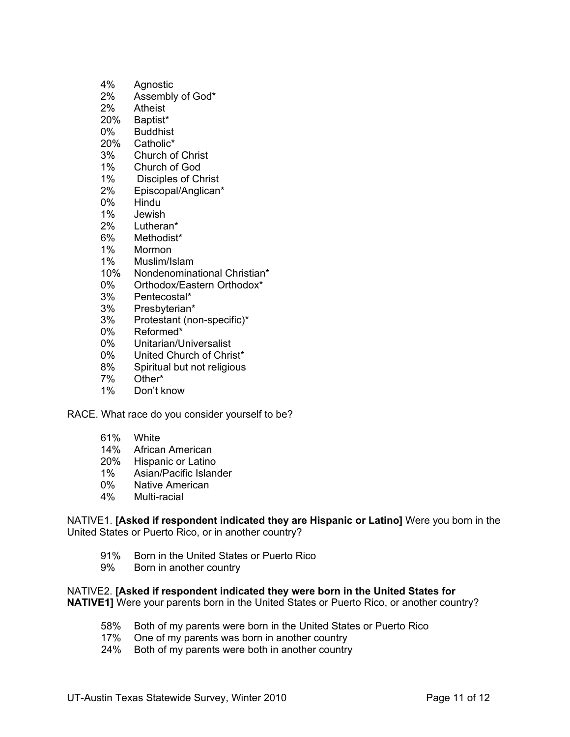- 4% Agnostic
- 2% Assembly of God\*<br>2% Atheist
- 2% Atheist<br>20% Baptist\*
- Baptist\*
- 0% Buddhist
- 20% Catholic\*
- 3% Church of Christ
- 1% Church of God
- 1% Disciples of Christ<br>2% Episcopal/Anglican\*
- Episcopal/Anglican\*
- 0% Hindu
- 1% Jewish
- 2% Lutheran\*
- 6% Methodist\*
- 1% Mormon
- 1% Muslim/Islam
- 10% Nondenominational Christian\*
- 0% Orthodox/Eastern Orthodox\*
- 3% Pentecostal\*
- 3% Presbyterian\*
- 3% Protestant (non-specific)\*
- 0% Reformed\*
- 0% Unitarian/Universalist
- 0% United Church of Christ\*
- 8% Spiritual but not religious
- 7% Other\*
- 1% Don't know

RACE. What race do you consider yourself to be?

- 61% White
- 14% African American
- 20% Hispanic or Latino
- 1% Asian/Pacific Islander
- 0% Native American
- 4% Multi-racial

NATIVE1. **[Asked if respondent indicated they are Hispanic or Latino]** Were you born in the United States or Puerto Rico, or in another country?

- 91% Born in the United States or Puerto Rico
- 9% Born in another country

NATIVE2. **[Asked if respondent indicated they were born in the United States for NATIVE1]** Were your parents born in the United States or Puerto Rico, or another country?

- 58% Both of my parents were born in the United States or Puerto Rico
- 17% One of my parents was born in another country
- 24% Both of my parents were both in another country